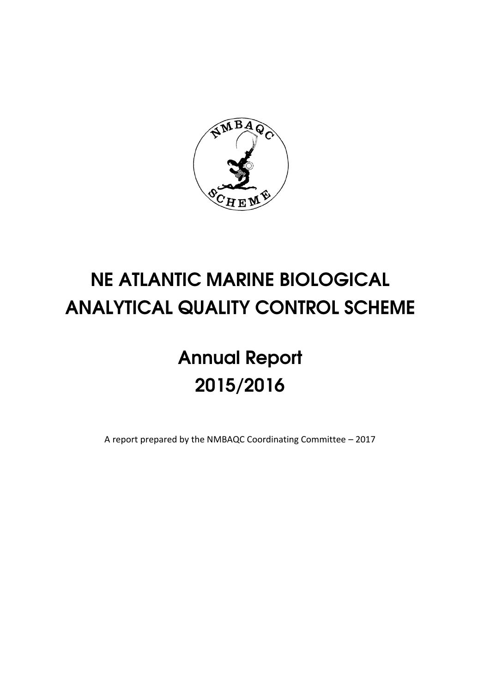

# **NE ATLANTIC MARINE BIOLOGICAL ANALYTICAL QUALITY CONTROL SCHEME**

# **Annual Report** 2015/2016

A report prepared by the NMBAQC Coordinating Committee – 2017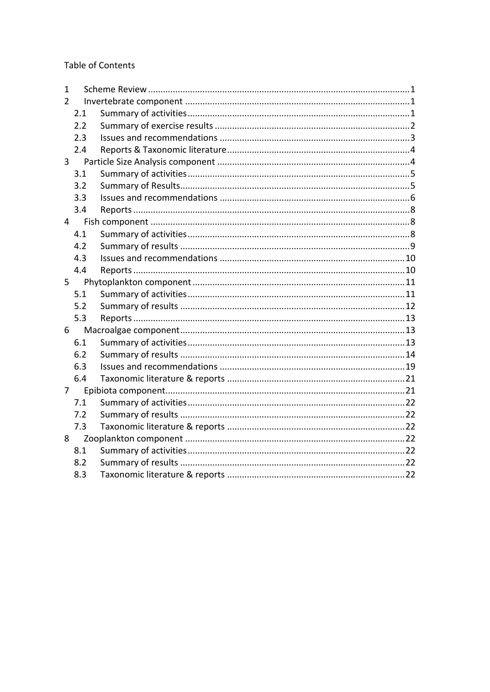**Table of Contents** 

| 1             |     |  |  |  |  |
|---------------|-----|--|--|--|--|
| $\mathcal{P}$ |     |  |  |  |  |
|               | 2.1 |  |  |  |  |
|               | 2.2 |  |  |  |  |
|               | 2.3 |  |  |  |  |
|               | 2.4 |  |  |  |  |
| 3             |     |  |  |  |  |
|               | 3.1 |  |  |  |  |
|               | 3.2 |  |  |  |  |
|               | 3.3 |  |  |  |  |
|               | 3.4 |  |  |  |  |
| 4             |     |  |  |  |  |
|               | 4.1 |  |  |  |  |
|               | 4.2 |  |  |  |  |
|               | 4.3 |  |  |  |  |
|               | 4.4 |  |  |  |  |
| 5             |     |  |  |  |  |
|               | 5.1 |  |  |  |  |
|               | 5.2 |  |  |  |  |
|               | 5.3 |  |  |  |  |
| 6             |     |  |  |  |  |
|               | 6.1 |  |  |  |  |
|               | 6.2 |  |  |  |  |
|               | 6.3 |  |  |  |  |
|               | 6.4 |  |  |  |  |
| 7             |     |  |  |  |  |
|               | 7.1 |  |  |  |  |
|               | 7.2 |  |  |  |  |
|               | 7.3 |  |  |  |  |
| 8             |     |  |  |  |  |
|               | 8.1 |  |  |  |  |
|               | 8.2 |  |  |  |  |
|               | 8.3 |  |  |  |  |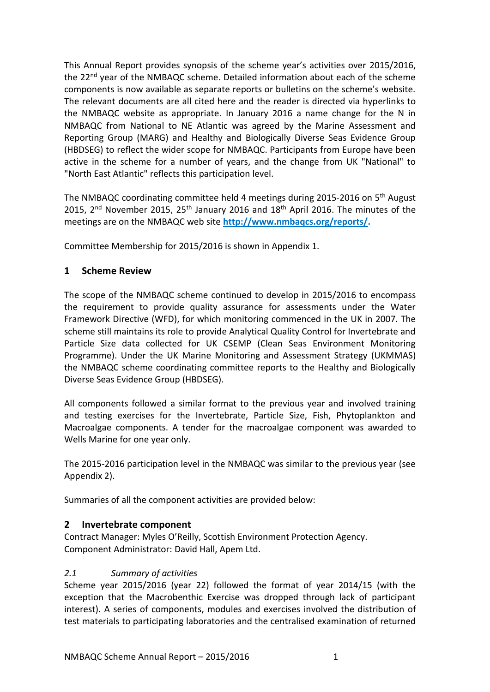This Annual Report provides synopsis of the scheme year's activities over 2015/2016, the 22<sup>nd</sup> year of the NMBAQC scheme. Detailed information about each of the scheme components is now available as separate reports or bulletins on the scheme's website. The relevant documents are all cited here and the reader is directed via hyperlinks to the NMBAQC website as appropriate. In January 2016 a name change for the N in NMBAQC from National to NE Atlantic was agreed by the Marine Assessment and Reporting Group (MARG) and Healthy and Biologically Diverse Seas Evidence Group (HBDSEG) to reflect the wider scope for NMBAQC. Participants from Europe have been active in the scheme for a number of years, and the change from UK "National" to "North East Atlantic" reflects this participation level.

The NMBAQC coordinating committee held 4 meetings during 2015-2016 on 5th August 2015,  $2<sup>nd</sup>$  November 2015, 25<sup>th</sup> January 2016 and  $18<sup>th</sup>$  April 2016. The minutes of the meetings are on the NMBAQC web site **[http://www.nmbaqcs.org/reports/.](http://www.nmbaqcs.org/reports/)**

Committee Membership for 2015/2016 is shown in Appendix 1.

## <span id="page-2-0"></span>**1 Scheme Review**

The scope of the NMBAQC scheme continued to develop in 2015/2016 to encompass the requirement to provide quality assurance for assessments under the Water Framework Directive (WFD), for which monitoring commenced in the UK in 2007. The scheme still maintains its role to provide Analytical Quality Control for Invertebrate and Particle Size data collected for UK CSEMP (Clean Seas Environment Monitoring Programme). Under the UK Marine Monitoring and Assessment Strategy (UKMMAS) the NMBAQC scheme coordinating committee reports to the Healthy and Biologically Diverse Seas Evidence Group (HBDSEG).

All components followed a similar format to the previous year and involved training and testing exercises for the Invertebrate, Particle Size, Fish, Phytoplankton and Macroalgae components. A tender for the macroalgae component was awarded to Wells Marine for one year only.

The 2015-2016 participation level in the NMBAQC was similar to the previous year (see Appendix 2).

Summaries of all the component activities are provided below:

## <span id="page-2-1"></span>**2 Invertebrate component**

Contract Manager: Myles O'Reilly, Scottish Environment Protection Agency. Component Administrator: David Hall, Apem Ltd.

## <span id="page-2-2"></span>*2.1 Summary of activities*

Scheme year 2015/2016 (year 22) followed the format of year 2014/15 (with the exception that the Macrobenthic Exercise was dropped through lack of participant interest). A series of components, modules and exercises involved the distribution of test materials to participating laboratories and the centralised examination of returned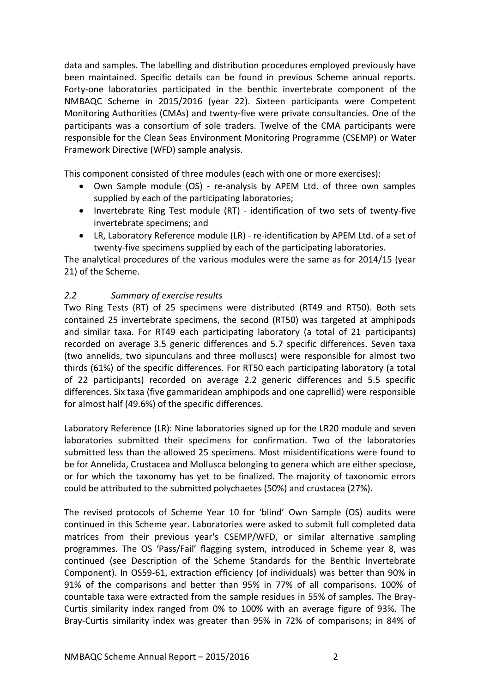data and samples. The labelling and distribution procedures employed previously have been maintained. Specific details can be found in previous Scheme annual reports. Forty-one laboratories participated in the benthic invertebrate component of the NMBAQC Scheme in 2015/2016 (year 22). Sixteen participants were Competent Monitoring Authorities (CMAs) and twenty-five were private consultancies. One of the participants was a consortium of sole traders. Twelve of the CMA participants were responsible for the Clean Seas Environment Monitoring Programme (CSEMP) or Water Framework Directive (WFD) sample analysis.

This component consisted of three modules (each with one or more exercises):

- Own Sample module (OS) re-analysis by APEM Ltd. of three own samples supplied by each of the participating laboratories;
- Invertebrate Ring Test module (RT) identification of two sets of twenty-five invertebrate specimens; and
- LR, Laboratory Reference module (LR) re-identification by APEM Ltd. of a set of twenty-five specimens supplied by each of the participating laboratories.

The analytical procedures of the various modules were the same as for 2014/15 (year 21) of the Scheme.

## <span id="page-3-0"></span>*2.2 Summary of exercise results*

Two Ring Tests (RT) of 25 specimens were distributed (RT49 and RT50). Both sets contained 25 invertebrate specimens, the second (RT50) was targeted at amphipods and similar taxa. For RT49 each participating laboratory (a total of 21 participants) recorded on average 3.5 generic differences and 5.7 specific differences. Seven taxa (two annelids, two sipunculans and three molluscs) were responsible for almost two thirds (61%) of the specific differences. For RT50 each participating laboratory (a total of 22 participants) recorded on average 2.2 generic differences and 5.5 specific differences. Six taxa (five gammaridean amphipods and one caprellid) were responsible for almost half (49.6%) of the specific differences.

Laboratory Reference (LR): Nine laboratories signed up for the LR20 module and seven laboratories submitted their specimens for confirmation. Two of the laboratories submitted less than the allowed 25 specimens. Most misidentifications were found to be for Annelida, Crustacea and Mollusca belonging to genera which are either speciose, or for which the taxonomy has yet to be finalized. The majority of taxonomic errors could be attributed to the submitted polychaetes (50%) and crustacea (27%).

The revised protocols of Scheme Year 10 for 'blind' Own Sample (OS) audits were continued in this Scheme year. Laboratories were asked to submit full completed data matrices from their previous year's CSEMP/WFD, or similar alternative sampling programmes. The OS 'Pass/Fail' flagging system, introduced in Scheme year 8, was continued (see Description of the Scheme Standards for the Benthic Invertebrate Component). In OS59-61, extraction efficiency (of individuals) was better than 90% in 91% of the comparisons and better than 95% in 77% of all comparisons. 100% of countable taxa were extracted from the sample residues in 55% of samples. The Bray-Curtis similarity index ranged from 0% to 100% with an average figure of 93%. The Bray-Curtis similarity index was greater than 95% in 72% of comparisons; in 84% of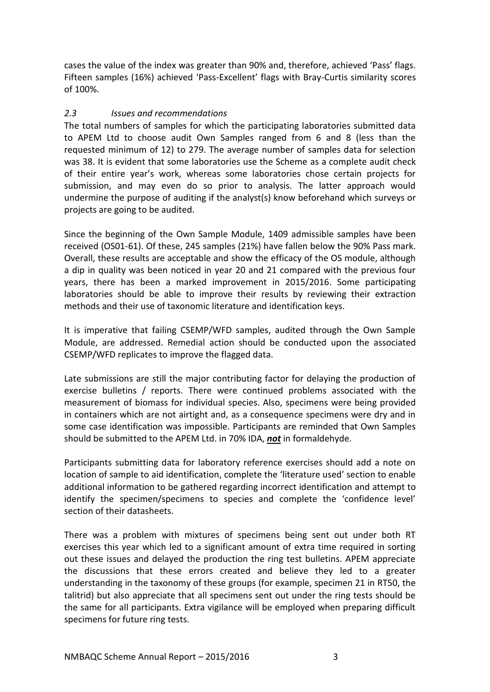cases the value of the index was greater than 90% and, therefore, achieved 'Pass' flags. Fifteen samples (16%) achieved 'Pass-Excellent' flags with Bray-Curtis similarity scores of 100%.

## <span id="page-4-0"></span>*2.3 Issues and recommendations*

The total numbers of samples for which the participating laboratories submitted data to APEM Ltd to choose audit Own Samples ranged from 6 and 8 (less than the requested minimum of 12) to 279. The average number of samples data for selection was 38. It is evident that some laboratories use the Scheme as a complete audit check of their entire year's work, whereas some laboratories chose certain projects for submission, and may even do so prior to analysis. The latter approach would undermine the purpose of auditing if the analyst(s) know beforehand which surveys or projects are going to be audited.

Since the beginning of the Own Sample Module, 1409 admissible samples have been received (OS01-61). Of these, 245 samples (21%) have fallen below the 90% Pass mark. Overall, these results are acceptable and show the efficacy of the OS module, although a dip in quality was been noticed in year 20 and 21 compared with the previous four years, there has been a marked improvement in 2015/2016. Some participating laboratories should be able to improve their results by reviewing their extraction methods and their use of taxonomic literature and identification keys.

It is imperative that failing CSEMP/WFD samples, audited through the Own Sample Module, are addressed. Remedial action should be conducted upon the associated CSEMP/WFD replicates to improve the flagged data.

Late submissions are still the major contributing factor for delaying the production of exercise bulletins / reports. There were continued problems associated with the measurement of biomass for individual species. Also, specimens were being provided in containers which are not airtight and, as a consequence specimens were dry and in some case identification was impossible. Participants are reminded that Own Samples should be submitted to the APEM Ltd. in 70% IDA, *not* in formaldehyde.

Participants submitting data for laboratory reference exercises should add a note on location of sample to aid identification, complete the 'literature used' section to enable additional information to be gathered regarding incorrect identification and attempt to identify the specimen/specimens to species and complete the 'confidence level' section of their datasheets.

There was a problem with mixtures of specimens being sent out under both RT exercises this year which led to a significant amount of extra time required in sorting out these issues and delayed the production the ring test bulletins. APEM appreciate the discussions that these errors created and believe they led to a greater understanding in the taxonomy of these groups (for example, specimen 21 in RT50, the talitrid) but also appreciate that all specimens sent out under the ring tests should be the same for all participants. Extra vigilance will be employed when preparing difficult specimens for future ring tests.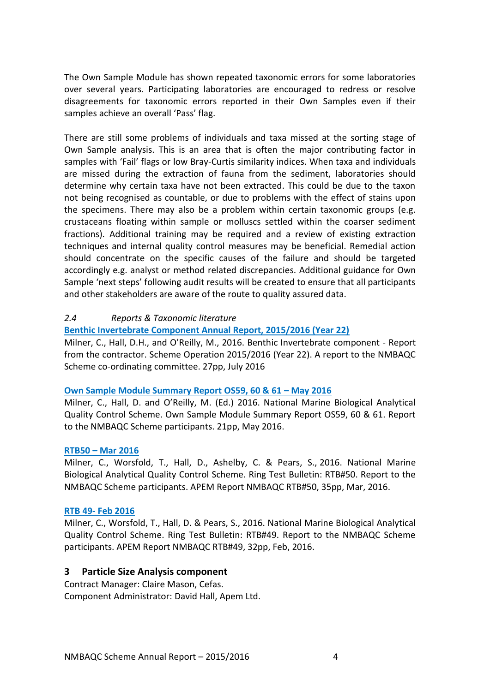The Own Sample Module has shown repeated taxonomic errors for some laboratories over several years. Participating laboratories are encouraged to redress or resolve disagreements for taxonomic errors reported in their Own Samples even if their samples achieve an overall 'Pass' flag.

There are still some problems of individuals and taxa missed at the sorting stage of Own Sample analysis. This is an area that is often the major contributing factor in samples with 'Fail' flags or low Bray-Curtis similarity indices. When taxa and individuals are missed during the extraction of fauna from the sediment, laboratories should determine why certain taxa have not been extracted. This could be due to the taxon not being recognised as countable, or due to problems with the effect of stains upon the specimens. There may also be a problem within certain taxonomic groups (e.g. crustaceans floating within sample or molluscs settled within the coarser sediment fractions). Additional training may be required and a review of existing extraction techniques and internal quality control measures may be beneficial. Remedial action should concentrate on the specific causes of the failure and should be targeted accordingly e.g. analyst or method related discrepancies. Additional guidance for Own Sample 'next steps' following audit results will be created to ensure that all participants and other stakeholders are aware of the route to quality assured data.

## <span id="page-5-0"></span>*2.4 Reports & Taxonomic literature*

#### **[Benthic Invertebrate Component Annual Report, 2015/2016 \(Year 22\)](http://www.nmbaqcs.org/scheme-components/invertebrates/reports/benthic-invertebrate-annual-report-2015-2016/)**

Milner, C., Hall, D.H., and O'Reilly, M., 2016. Benthic Invertebrate component - Report from the contractor. Scheme Operation 2015/2016 (Year 22). A report to the NMBAQC Scheme co-ordinating committee. 27pp, July 2016

#### **[Own Sample Module Summary](http://www.nmbaqcs.org/scheme-components/invertebrates/reports/os-59-60-61/) Report OS59, 60 & 61 – May 2016**

Milner, C., Hall, D. and O'Reilly, M. (Ed.) 2016. National Marine Biological Analytical Quality Control Scheme. Own Sample Module Summary Report OS59, 60 & 61. Report to the NMBAQC Scheme participants. 21pp, May 2016.

#### **RTB50 – [Mar 2016](http://www.nmbaqcs.org/scheme-components/invertebrates/reports/rtb50/)**

Milner, C., Worsfold, T., Hall, D., Ashelby, C. & Pears, S., 2016. National Marine Biological Analytical Quality Control Scheme. Ring Test Bulletin: RTB#50. Report to the NMBAQC Scheme participants. APEM Report NMBAQC RTB#50, 35pp, Mar, 2016.

#### **RTB 49- [Feb 2016](http://www.nmbaqcs.org/scheme-components/invertebrates/reports/rtb49/)**

Milner, C., Worsfold, T., Hall, D. & Pears, S., 2016. National Marine Biological Analytical Quality Control Scheme. Ring Test Bulletin: RTB#49. Report to the NMBAQC Scheme participants. APEM Report NMBAQC RTB#49, 32pp, Feb, 2016.

#### <span id="page-5-1"></span>**3 Particle Size Analysis component**

Contract Manager: Claire Mason, Cefas. Component Administrator: David Hall, Apem Ltd.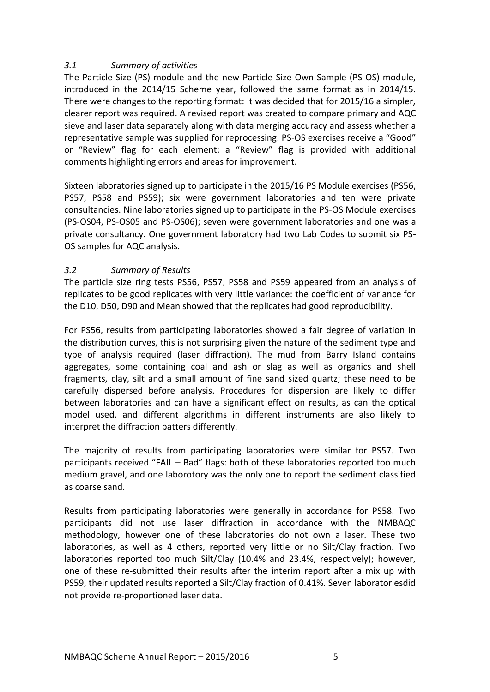## <span id="page-6-0"></span>*3.1 Summary of activities*

The Particle Size (PS) module and the new Particle Size Own Sample (PS-OS) module, introduced in the 2014/15 Scheme year, followed the same format as in 2014/15. There were changes to the reporting format: It was decided that for 2015/16 a simpler, clearer report was required. A revised report was created to compare primary and AQC sieve and laser data separately along with data merging accuracy and assess whether a representative sample was supplied for reprocessing. PS-OS exercises receive a "Good" or "Review" flag for each element; a "Review" flag is provided with additional comments highlighting errors and areas for improvement.

Sixteen laboratories signed up to participate in the 2015/16 PS Module exercises (PS56, PS57, PS58 and PS59); six were government laboratories and ten were private consultancies. Nine laboratories signed up to participate in the PS-OS Module exercises (PS-OS04, PS-OS05 and PS-OS06); seven were government laboratories and one was a private consultancy. One government laboratory had two Lab Codes to submit six PS-OS samples for AQC analysis.

## <span id="page-6-1"></span>*3.2 Summary of Results*

The particle size ring tests PS56, PS57, PS58 and PS59 appeared from an analysis of replicates to be good replicates with very little variance: the coefficient of variance for the D10, D50, D90 and Mean showed that the replicates had good reproducibility.

For PS56, results from participating laboratories showed a fair degree of variation in the distribution curves, this is not surprising given the nature of the sediment type and type of analysis required (laser diffraction). The mud from Barry Island contains aggregates, some containing coal and ash or slag as well as organics and shell fragments, clay, silt and a small amount of fine sand sized quartz; these need to be carefully dispersed before analysis. Procedures for dispersion are likely to differ between laboratories and can have a significant effect on results, as can the optical model used, and different algorithms in different instruments are also likely to interpret the diffraction patters differently.

The majority of results from participating laboratories were similar for PS57. Two participants received "FAIL – Bad" flags: both of these laboratories reported too much medium gravel, and one laborotory was the only one to report the sediment classified as coarse sand.

Results from participating laboratories were generally in accordance for PS58. Two participants did not use laser diffraction in accordance with the NMBAQC methodology, however one of these laboratories do not own a laser. These two laboratories, as well as 4 others, reported very little or no Silt/Clay fraction. Two laboratories reported too much Silt/Clay (10.4% and 23.4%, respectively); however, one of these re-submitted their results after the interim report after a mix up with PS59, their updated results reported a Silt/Clay fraction of 0.41%. Seven laboratoriesdid not provide re-proportioned laser data.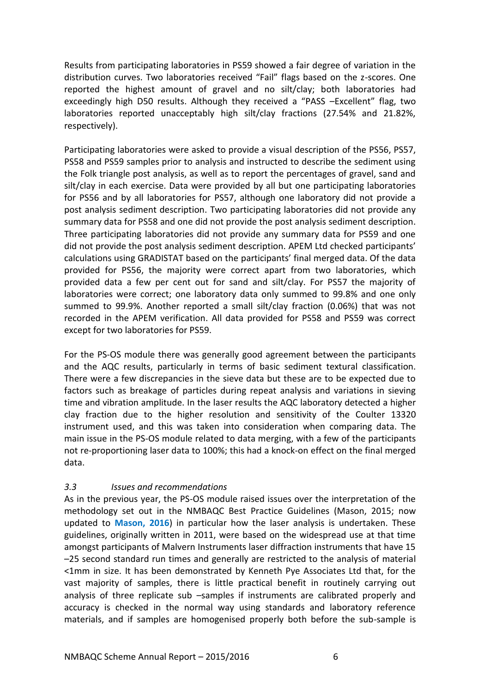Results from participating laboratories in PS59 showed a fair degree of variation in the distribution curves. Two laboratories received "Fail" flags based on the z-scores. One reported the highest amount of gravel and no silt/clay; both laboratories had exceedingly high D50 results. Although they received a "PASS –Excellent" flag, two laboratories reported unacceptably high silt/clay fractions (27.54% and 21.82%, respectively).

Participating laboratories were asked to provide a visual description of the PS56, PS57, PS58 and PS59 samples prior to analysis and instructed to describe the sediment using the Folk triangle post analysis, as well as to report the percentages of gravel, sand and silt/clay in each exercise. Data were provided by all but one participating laboratories for PS56 and by all laboratories for PS57, although one laboratory did not provide a post analysis sediment description. Two participating laboratories did not provide any summary data for PS58 and one did not provide the post analysis sediment description. Three participating laboratories did not provide any summary data for PS59 and one did not provide the post analysis sediment description. APEM Ltd checked participants' calculations using GRADISTAT based on the participants' final merged data. Of the data provided for PS56, the majority were correct apart from two laboratories, which provided data a few per cent out for sand and silt/clay. For PS57 the majority of laboratories were correct; one laboratory data only summed to 99.8% and one only summed to 99.9%. Another reported a small silt/clay fraction (0.06%) that was not recorded in the APEM verification. All data provided for PS58 and PS59 was correct except for two laboratories for PS59.

For the PS-OS module there was generally good agreement between the participants and the AQC results, particularly in terms of basic sediment textural classification. There were a few discrepancies in the sieve data but these are to be expected due to factors such as breakage of particles during repeat analysis and variations in sieving time and vibration amplitude. In the laser results the AQC laboratory detected a higher clay fraction due to the higher resolution and sensitivity of the Coulter 13320 instrument used, and this was taken into consideration when comparing data. The main issue in the PS-OS module related to data merging, with a few of the participants not re-proportioning laser data to 100%; this had a knock-on effect on the final merged data.

## <span id="page-7-0"></span>*3.3 Issues and recommendations*

As in the previous year, the PS-OS module raised issues over the interpretation of the methodology set out in the NMBAQC Best Practice Guidelines (Mason, 2015; now updated to **Mason, 2016**) in particular how the laser analysis is undertaken. These guidelines, originally written in 2011, were based on the widespread use at that time amongst participants of Malvern Instruments laser diffraction instruments that have 15 –25 second standard run times and generally are restricted to the analysis of material <1mm in size. It has been demonstrated by Kenneth Pye Associates Ltd that, for the vast majority of samples, there is little practical benefit in routinely carrying out analysis of three replicate sub –samples if instruments are calibrated properly and accuracy is checked in the normal way using standards and laboratory reference materials, and if samples are homogenised properly both before the sub-sample is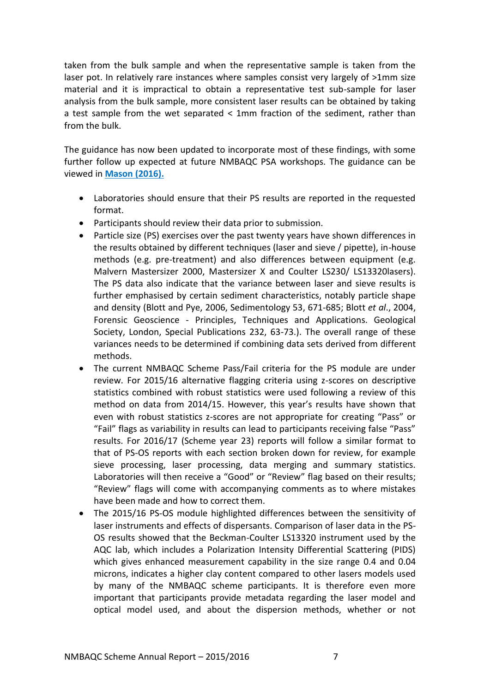taken from the bulk sample and when the representative sample is taken from the laser pot. In relatively rare instances where samples consist very largely of >1mm size material and it is impractical to obtain a representative test sub-sample for laser analysis from the bulk sample, more consistent laser results can be obtained by taking a test sample from the wet separated < 1mm fraction of the sediment, rather than from the bulk.

The guidance has now been updated to incorporate most of these findings, with some further follow up expected at future NMBAQC PSA workshops. The guidance can be viewed in **[Mason \(2016\).](http://www.nmbaqcs.org/media/1255/psa-guidance_update18012016.pdf)**

- Laboratories should ensure that their PS results are reported in the requested format.
- Participants should review their data prior to submission.
- Particle size (PS) exercises over the past twenty years have shown differences in the results obtained by different techniques (laser and sieve / pipette), in-house methods (e.g. pre-treatment) and also differences between equipment (e.g. Malvern Mastersizer 2000, Mastersizer X and Coulter LS230/ LS13320lasers). The PS data also indicate that the variance between laser and sieve results is further emphasised by certain sediment characteristics, notably particle shape and density (Blott and Pye, 2006, Sedimentology 53, 671-685; Blott *et al*., 2004, Forensic Geoscience - Principles, Techniques and Applications. Geological Society, London, Special Publications 232, 63-73.). The overall range of these variances needs to be determined if combining data sets derived from different methods.
- The current NMBAQC Scheme Pass/Fail criteria for the PS module are under review. For 2015/16 alternative flagging criteria using z-scores on descriptive statistics combined with robust statistics were used following a review of this method on data from 2014/15. However, this year's results have shown that even with robust statistics z-scores are not appropriate for creating "Pass" or "Fail" flags as variability in results can lead to participants receiving false "Pass" results. For 2016/17 (Scheme year 23) reports will follow a similar format to that of PS-OS reports with each section broken down for review, for example sieve processing, laser processing, data merging and summary statistics. Laboratories will then receive a "Good" or "Review" flag based on their results; "Review" flags will come with accompanying comments as to where mistakes have been made and how to correct them.
- The 2015/16 PS-OS module highlighted differences between the sensitivity of laser instruments and effects of dispersants. Comparison of laser data in the PS-OS results showed that the Beckman-Coulter LS13320 instrument used by the AQC lab, which includes a Polarization Intensity Differential Scattering (PIDS) which gives enhanced measurement capability in the size range 0.4 and 0.04 microns, indicates a higher clay content compared to other lasers models used by many of the NMBAQC scheme participants. It is therefore even more important that participants provide metadata regarding the laser model and optical model used, and about the dispersion methods, whether or not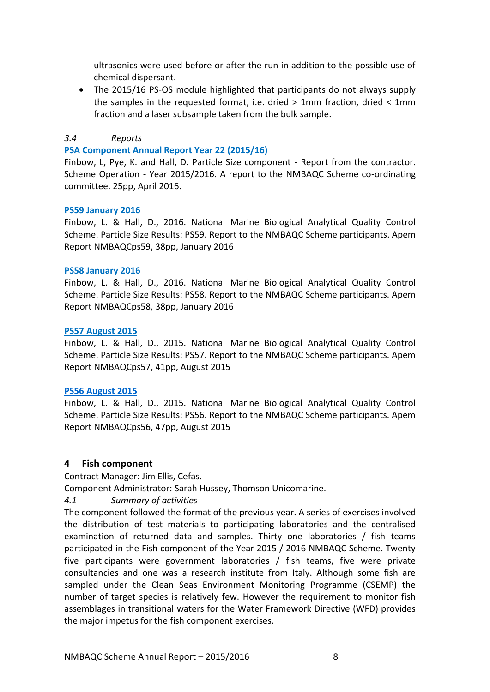ultrasonics were used before or after the run in addition to the possible use of chemical dispersant.

 The 2015/16 PS-OS module highlighted that participants do not always supply the samples in the requested format, i.e. dried > 1mm fraction, dried < 1mm fraction and a laser subsample taken from the bulk sample.

## <span id="page-9-0"></span>*3.4 Reports*

#### **[PSA Component Annual Report Year 22 \(2015/16\)](http://www.nmbaqcs.org/scheme-components/particle-size-analysis/reports/psa-annual-report-year-2015-2016/)**

Finbow, L, Pye, K. and Hall, D. Particle Size component - Report from the contractor. Scheme Operation - Year 2015/2016. A report to the NMBAQC Scheme co-ordinating committee. 25pp, April 2016.

#### **PS59 [January 2016](http://www.nmbaqcs.org/scheme-components/particle-size-analysis/reports/ps59/)**

Finbow, L. & Hall, D., 2016. National Marine Biological Analytical Quality Control Scheme. Particle Size Results: PS59. Report to the NMBAQC Scheme participants. Apem Report NMBAQCps59, 38pp, January 2016

#### **[PS58 January 2016](http://www.nmbaqcs.org/scheme-components/particle-size-analysis/reports/ps58/)**

Finbow, L. & Hall, D., 2016. National Marine Biological Analytical Quality Control Scheme. Particle Size Results: PS58. Report to the NMBAQC Scheme participants. Apem Report NMBAQCps58, 38pp, January 2016

#### **[PS57 August 2015](http://www.nmbaqcs.org/scheme-components/particle-size-analysis/reports/ps57/)**

Finbow, L. & Hall, D., 2015. National Marine Biological Analytical Quality Control Scheme. Particle Size Results: PS57. Report to the NMBAQC Scheme participants. Apem Report NMBAQCps57, 41pp, August 2015

#### **[PS56 August 2015](http://www.nmbaqcs.org/scheme-components/particle-size-analysis/reports/ps56/)**

Finbow, L. & Hall, D., 2015. National Marine Biological Analytical Quality Control Scheme. Particle Size Results: PS56. Report to the NMBAQC Scheme participants. Apem Report NMBAQCps56, 47pp, August 2015

## <span id="page-9-1"></span>**4 Fish component**

Contract Manager: Jim Ellis, Cefas.

Component Administrator: Sarah Hussey, Thomson Unicomarine.

## <span id="page-9-2"></span>*4.1 Summary of activities*

The component followed the format of the previous year. A series of exercises involved the distribution of test materials to participating laboratories and the centralised examination of returned data and samples. Thirty one laboratories / fish teams participated in the Fish component of the Year 2015 / 2016 NMBAQC Scheme. Twenty five participants were government laboratories / fish teams, five were private consultancies and one was a research institute from Italy. Although some fish are sampled under the Clean Seas Environment Monitoring Programme (CSEMP) the number of target species is relatively few. However the requirement to monitor fish assemblages in transitional waters for the Water Framework Directive (WFD) provides the major impetus for the fish component exercises.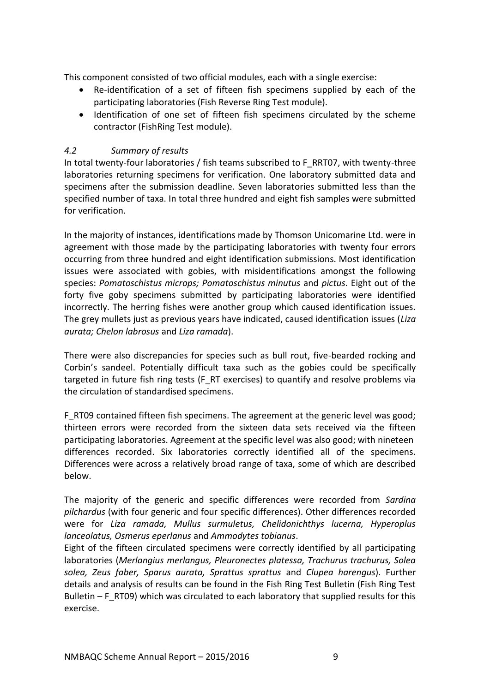This component consisted of two official modules, each with a single exercise:

- Re-identification of a set of fifteen fish specimens supplied by each of the participating laboratories (Fish Reverse Ring Test module).
- Identification of one set of fifteen fish specimens circulated by the scheme contractor (FishRing Test module).

## <span id="page-10-0"></span>*4.2 Summary of results*

In total twenty-four laboratories / fish teams subscribed to F\_RRT07, with twenty-three laboratories returning specimens for verification. One laboratory submitted data and specimens after the submission deadline. Seven laboratories submitted less than the specified number of taxa. In total three hundred and eight fish samples were submitted for verification.

In the majority of instances, identifications made by Thomson Unicomarine Ltd. were in agreement with those made by the participating laboratories with twenty four errors occurring from three hundred and eight identification submissions. Most identification issues were associated with gobies, with misidentifications amongst the following species: *Pomatoschistus microps; Pomatoschistus minutus* and *pictus*. Eight out of the forty five goby specimens submitted by participating laboratories were identified incorrectly. The herring fishes were another group which caused identification issues. The grey mullets just as previous years have indicated, caused identification issues (*Liza aurata; Chelon labrosus* and *Liza ramada*).

There were also discrepancies for species such as bull rout, five-bearded rocking and Corbin's sandeel. Potentially difficult taxa such as the gobies could be specifically targeted in future fish ring tests (F\_RT exercises) to quantify and resolve problems via the circulation of standardised specimens.

F\_RT09 contained fifteen fish specimens. The agreement at the generic level was good; thirteen errors were recorded from the sixteen data sets received via the fifteen participating laboratories. Agreement at the specific level was also good; with nineteen differences recorded. Six laboratories correctly identified all of the specimens. Differences were across a relatively broad range of taxa, some of which are described below.

The majority of the generic and specific differences were recorded from *Sardina pilchardus* (with four generic and four specific differences). Other differences recorded were for *Liza ramada, Mullus surmuletus, Chelidonichthys lucerna, Hyperoplus lanceolatus, Osmerus eperlanus* and *Ammodytes tobianus*.

Eight of the fifteen circulated specimens were correctly identified by all participating laboratories (*Merlangius merlangus, Pleuronectes platessa, Trachurus trachurus, Solea solea, Zeus faber, Sparus aurata, Sprattus sprattus* and *Clupea harengus*). Further details and analysis of results can be found in the Fish Ring Test Bulletin (Fish Ring Test Bulletin  $-F$  RT09) which was circulated to each laboratory that supplied results for this exercise.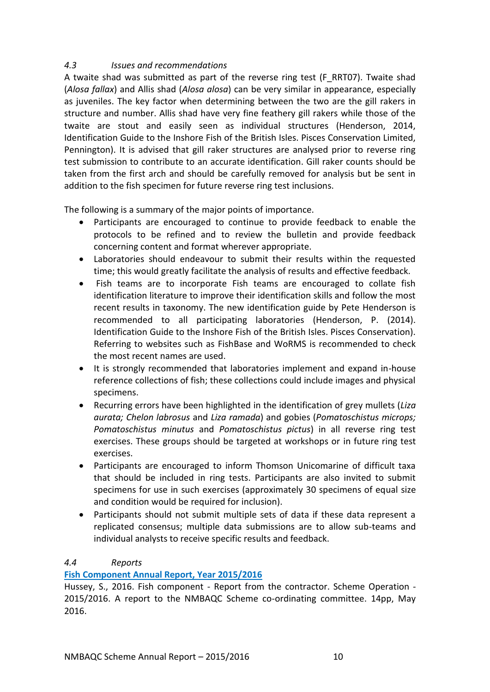## <span id="page-11-0"></span>*4.3 Issues and recommendations*

A twaite shad was submitted as part of the reverse ring test (F\_RRT07). Twaite shad (*Alosa fallax*) and Allis shad (*Alosa alosa*) can be very similar in appearance, especially as juveniles. The key factor when determining between the two are the gill rakers in structure and number. Allis shad have very fine feathery gill rakers while those of the twaite are stout and easily seen as individual structures (Henderson, 2014, Identification Guide to the Inshore Fish of the British Isles. Pisces Conservation Limited, Pennington). It is advised that gill raker structures are analysed prior to reverse ring test submission to contribute to an accurate identification. Gill raker counts should be taken from the first arch and should be carefully removed for analysis but be sent in addition to the fish specimen for future reverse ring test inclusions.

The following is a summary of the major points of importance.

- Participants are encouraged to continue to provide feedback to enable the protocols to be refined and to review the bulletin and provide feedback concerning content and format wherever appropriate.
- Laboratories should endeavour to submit their results within the requested time; this would greatly facilitate the analysis of results and effective feedback.
- Fish teams are to incorporate Fish teams are encouraged to collate fish identification literature to improve their identification skills and follow the most recent results in taxonomy. The new identification guide by Pete Henderson is recommended to all participating laboratories (Henderson, P. (2014). Identification Guide to the Inshore Fish of the British Isles. Pisces Conservation). Referring to websites such as FishBase and WoRMS is recommended to check the most recent names are used.
- It is strongly recommended that laboratories implement and expand in-house reference collections of fish; these collections could include images and physical specimens.
- Recurring errors have been highlighted in the identification of grey mullets (*Liza aurata; Chelon labrosus* and *Liza ramada*) and gobies (*Pomatoschistus microps; Pomatoschistus minutus* and *Pomatoschistus pictus*) in all reverse ring test exercises. These groups should be targeted at workshops or in future ring test exercises.
- Participants are encouraged to inform Thomson Unicomarine of difficult taxa that should be included in ring tests. Participants are also invited to submit specimens for use in such exercises (approximately 30 specimens of equal size and condition would be required for inclusion).
- Participants should not submit multiple sets of data if these data represent a replicated consensus; multiple data submissions are to allow sub-teams and individual analysts to receive specific results and feedback.

## <span id="page-11-1"></span>*4.4 Reports*

## **[Fish Component Annual Report, Year 2015/2016](http://www.nmbaqcs.org/scheme-components/fish/reports/fish-annual-report-2015-2016/)**

Hussey, S., 2016. Fish component - Report from the contractor. Scheme Operation - 2015/2016. A report to the NMBAQC Scheme co-ordinating committee. 14pp, May 2016.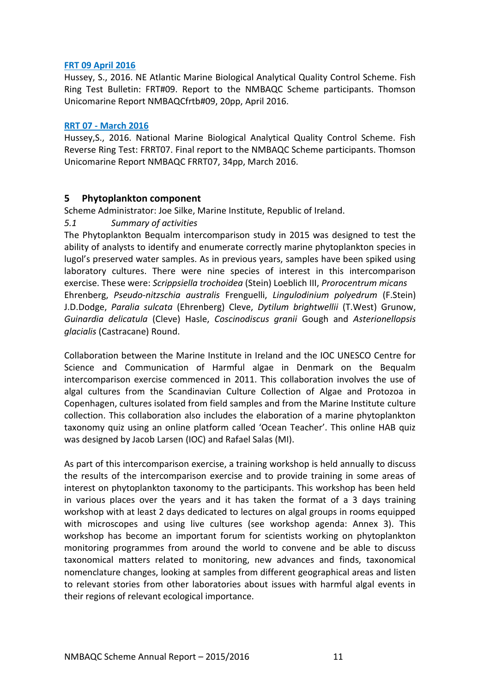#### **[FRT 09 April 2016](http://www.nmbaqcs.org/scheme-components/fish/reports/frt09/)**

Hussey, S., 2016. NE Atlantic Marine Biological Analytical Quality Control Scheme. Fish Ring Test Bulletin: FRT#09. Report to the NMBAQC Scheme participants. Thomson Unicomarine Report NMBAQCfrtb#09, 20pp, April 2016.

#### **RRT 07 - [March 2016](http://www.nmbaqcs.org/scheme-components/fish/reports/frrt07-bulletin/)**

Hussey,S., 2016. National Marine Biological Analytical Quality Control Scheme. Fish Reverse Ring Test: FRRT07. Final report to the NMBAQC Scheme participants. Thomson Unicomarine Report NMBAQC FRRT07, 34pp, March 2016.

## <span id="page-12-0"></span>**5 Phytoplankton component**

Scheme Administrator: Joe Silke, Marine Institute, Republic of Ireland.

## <span id="page-12-1"></span>*5.1 Summary of activities*

The Phytoplankton Bequalm intercomparison study in 2015 was designed to test the ability of analysts to identify and enumerate correctly marine phytoplankton species in lugol's preserved water samples. As in previous years, samples have been spiked using laboratory cultures. There were nine species of interest in this intercomparison exercise. These were: *Scrippsiella trochoidea* (Stein) Loeblich III, *Prorocentrum micans* Ehrenberg, *Pseudo-nitzschia australis* Frenguelli, *Lingulodinium polyedrum* (F.Stein) J.D.Dodge, *Paralia sulcata* (Ehrenberg) Cleve, *Dytilum brightwellii* (T.West) Grunow, *Guinardia delicatula* (Cleve) Hasle, *Coscinodiscus granii* Gough and *Asterionellopsis glacialis* (Castracane) Round.

Collaboration between the Marine Institute in Ireland and the IOC UNESCO Centre for Science and Communication of Harmful algae in Denmark on the Bequalm intercomparison exercise commenced in 2011. This collaboration involves the use of algal cultures from the Scandinavian Culture Collection of Algae and Protozoa in Copenhagen, cultures isolated from field samples and from the Marine Institute culture collection. This collaboration also includes the elaboration of a marine phytoplankton taxonomy quiz using an online platform called 'Ocean Teacher'. This online HAB quiz was designed by Jacob Larsen (IOC) and Rafael Salas (MI).

As part of this intercomparison exercise, a training workshop is held annually to discuss the results of the intercomparison exercise and to provide training in some areas of interest on phytoplankton taxonomy to the participants. This workshop has been held in various places over the years and it has taken the format of a 3 days training workshop with at least 2 days dedicated to lectures on algal groups in rooms equipped with microscopes and using live cultures (see workshop agenda: Annex 3). This workshop has become an important forum for scientists working on phytoplankton monitoring programmes from around the world to convene and be able to discuss taxonomical matters related to monitoring, new advances and finds, taxonomical nomenclature changes, looking at samples from different geographical areas and listen to relevant stories from other laboratories about issues with harmful algal events in their regions of relevant ecological importance.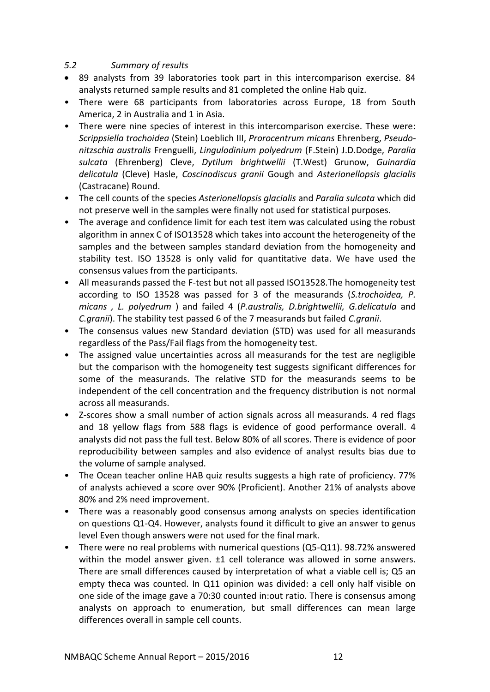## <span id="page-13-0"></span>*5.2 Summary of results*

- 89 analysts from 39 laboratories took part in this intercomparison exercise. 84 analysts returned sample results and 81 completed the online Hab quiz.
- There were 68 participants from laboratories across Europe, 18 from South America, 2 in Australia and 1 in Asia.
- There were nine species of interest in this intercomparison exercise. These were: *Scrippsiella trochoidea* (Stein) Loeblich III, *Prorocentrum micans* Ehrenberg, *Pseudonitzschia australis* Frenguelli, *Lingulodinium polyedrum* (F.Stein) J.D.Dodge, *Paralia sulcata* (Ehrenberg) Cleve, *Dytilum brightwellii* (T.West) Grunow, *Guinardia delicatula* (Cleve) Hasle, *Coscinodiscus granii* Gough and *Asterionellopsis glacialis* (Castracane) Round.
- The cell counts of the species *Asterionellopsis glacialis* and *Paralia sulcata* which did not preserve well in the samples were finally not used for statistical purposes.
- The average and confidence limit for each test item was calculated using the robust algorithm in annex C of ISO13528 which takes into account the heterogeneity of the samples and the between samples standard deviation from the homogeneity and stability test. ISO 13528 is only valid for quantitative data. We have used the consensus values from the participants.
- All measurands passed the F-test but not all passed ISO13528.The homogeneity test according to ISO 13528 was passed for 3 of the measurands (*S.trochoidea, P. micans , L. polyedrum* ) and failed 4 (*P.australis, D.brightwellii, G.delicatula* and *C.granii*). The stability test passed 6 of the 7 measurands but failed *C.granii*.
- The consensus values new Standard deviation (STD) was used for all measurands regardless of the Pass/Fail flags from the homogeneity test.
- The assigned value uncertainties across all measurands for the test are negligible but the comparison with the homogeneity test suggests significant differences for some of the measurands. The relative STD for the measurands seems to be independent of the cell concentration and the frequency distribution is not normal across all measurands.
- Z-scores show a small number of action signals across all measurands. 4 red flags and 18 yellow flags from 588 flags is evidence of good performance overall. 4 analysts did not pass the full test. Below 80% of all scores. There is evidence of poor reproducibility between samples and also evidence of analyst results bias due to the volume of sample analysed.
- The Ocean teacher online HAB quiz results suggests a high rate of proficiency. 77% of analysts achieved a score over 90% (Proficient). Another 21% of analysts above 80% and 2% need improvement.
- There was a reasonably good consensus among analysts on species identification on questions Q1-Q4. However, analysts found it difficult to give an answer to genus level Even though answers were not used for the final mark.
- There were no real problems with numerical questions (Q5-Q11). 98.72% answered within the model answer given.  $\pm 1$  cell tolerance was allowed in some answers. There are small differences caused by interpretation of what a viable cell is; Q5 an empty theca was counted. In Q11 opinion was divided: a cell only half visible on one side of the image gave a 70:30 counted in:out ratio. There is consensus among analysts on approach to enumeration, but small differences can mean large differences overall in sample cell counts.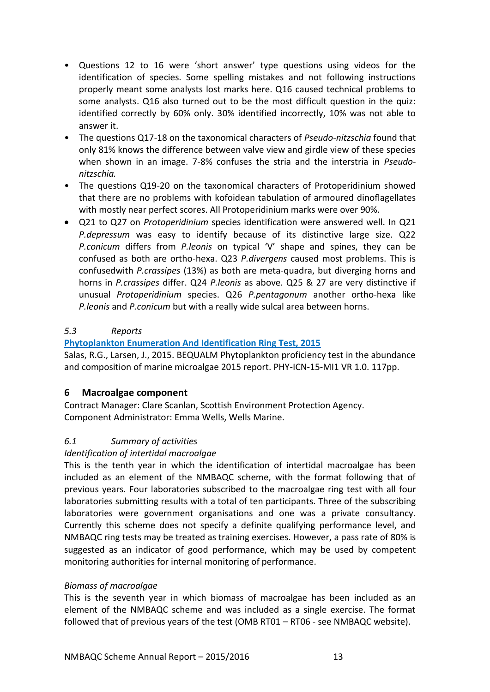- Questions 12 to 16 were 'short answer' type questions using videos for the identification of species. Some spelling mistakes and not following instructions properly meant some analysts lost marks here. Q16 caused technical problems to some analysts. Q16 also turned out to be the most difficult question in the quiz: identified correctly by 60% only. 30% identified incorrectly, 10% was not able to answer it.
- The questions Q17-18 on the taxonomical characters of *Pseudo-nitzschia* found that only 81% knows the difference between valve view and girdle view of these species when shown in an image. 7-8% confuses the stria and the interstria in *Pseudonitzschia.*
- The questions Q19-20 on the taxonomical characters of Protoperidinium showed that there are no problems with kofoidean tabulation of armoured dinoflagellates with mostly near perfect scores. All Protoperidinium marks were over 90%.
- Q21 to Q27 on *Protoperidinium* species identification were answered well. In Q21 *P.depressum* was easy to identify because of its distinctive large size. Q22 *P.conicum* differs from *P.leonis* on typical 'V' shape and spines, they can be confused as both are ortho-hexa. Q23 *P.divergens* caused most problems. This is confusedwith *P.crassipes* (13%) as both are meta-quadra, but diverging horns and horns in *P.crassipes* differ. Q24 *P.leonis* as above. Q25 & 27 are very distinctive if unusual *Protoperidinium* species. Q26 *P.pentagonum* another ortho-hexa like *P.leonis* and *P.conicum* but with a really wide sulcal area between horns.

## <span id="page-14-0"></span>*5.3 Reports*

## **[Phytoplankton Enumeration And Identification Ring Test, 2015](http://www.nmbaqcs.org/scheme-components/phytoplankton/reports/phy-icn-15-mi1/)**

Salas, R.G., Larsen, J., 2015. BEQUALM Phytoplankton proficiency test in the abundance and composition of marine microalgae 2015 report. PHY-ICN-15-MI1 VR 1.0. 117pp.

## <span id="page-14-1"></span>**6 Macroalgae component**

Contract Manager: Clare Scanlan, Scottish Environment Protection Agency. Component Administrator: Emma Wells, Wells Marine.

## <span id="page-14-2"></span>*6.1 Summary of activities*

## *Identification of intertidal macroalgae*

This is the tenth year in which the identification of intertidal macroalgae has been included as an element of the NMBAQC scheme, with the format following that of previous years. Four laboratories subscribed to the macroalgae ring test with all four laboratories submitting results with a total of ten participants. Three of the subscribing laboratories were government organisations and one was a private consultancy. Currently this scheme does not specify a definite qualifying performance level, and NMBAQC ring tests may be treated as training exercises. However, a pass rate of 80% is suggested as an indicator of good performance, which may be used by competent monitoring authorities for internal monitoring of performance.

## *Biomass of macroalgae*

This is the seventh year in which biomass of macroalgae has been included as an element of the NMBAQC scheme and was included as a single exercise. The format followed that of previous years of the test (OMB RT01 – RT06 - see NMBAQC website).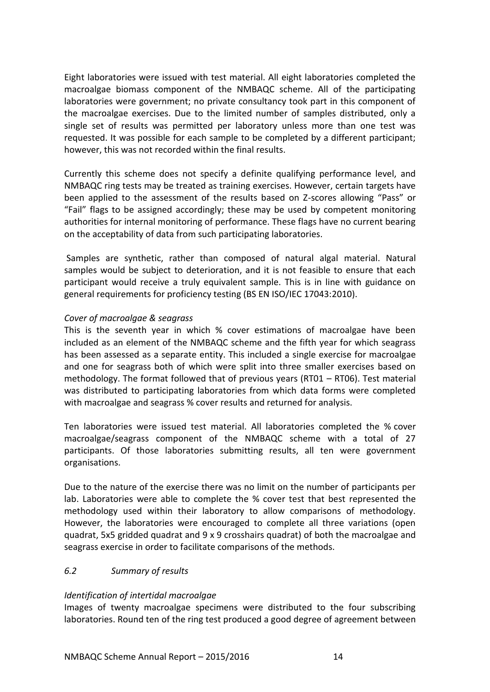Eight laboratories were issued with test material. All eight laboratories completed the macroalgae biomass component of the NMBAQC scheme. All of the participating laboratories were government; no private consultancy took part in this component of the macroalgae exercises. Due to the limited number of samples distributed, only a single set of results was permitted per laboratory unless more than one test was requested. It was possible for each sample to be completed by a different participant; however, this was not recorded within the final results.

Currently this scheme does not specify a definite qualifying performance level, and NMBAQC ring tests may be treated as training exercises. However, certain targets have been applied to the assessment of the results based on Z-scores allowing "Pass" or "Fail" flags to be assigned accordingly; these may be used by competent monitoring authorities for internal monitoring of performance. These flags have no current bearing on the acceptability of data from such participating laboratories.

Samples are synthetic, rather than composed of natural algal material. Natural samples would be subject to deterioration, and it is not feasible to ensure that each participant would receive a truly equivalent sample. This is in line with guidance on general requirements for proficiency testing (BS EN ISO/IEC 17043:2010).

#### *Cover of macroalgae & seagrass*

This is the seventh year in which % cover estimations of macroalgae have been included as an element of the NMBAQC scheme and the fifth year for which seagrass has been assessed as a separate entity. This included a single exercise for macroalgae and one for seagrass both of which were split into three smaller exercises based on methodology. The format followed that of previous years (RT01 – RT06). Test material was distributed to participating laboratories from which data forms were completed with macroalgae and seagrass % cover results and returned for analysis.

Ten laboratories were issued test material. All laboratories completed the % cover macroalgae/seagrass component of the NMBAQC scheme with a total of 27 participants. Of those laboratories submitting results, all ten were government organisations.

Due to the nature of the exercise there was no limit on the number of participants per lab. Laboratories were able to complete the % cover test that best represented the methodology used within their laboratory to allow comparisons of methodology. However, the laboratories were encouraged to complete all three variations (open quadrat, 5x5 gridded quadrat and 9 x 9 crosshairs quadrat) of both the macroalgae and seagrass exercise in order to facilitate comparisons of the methods.

#### <span id="page-15-0"></span>*6.2 Summary of results*

## *Identification of intertidal macroalgae*

Images of twenty macroalgae specimens were distributed to the four subscribing laboratories. Round ten of the ring test produced a good degree of agreement between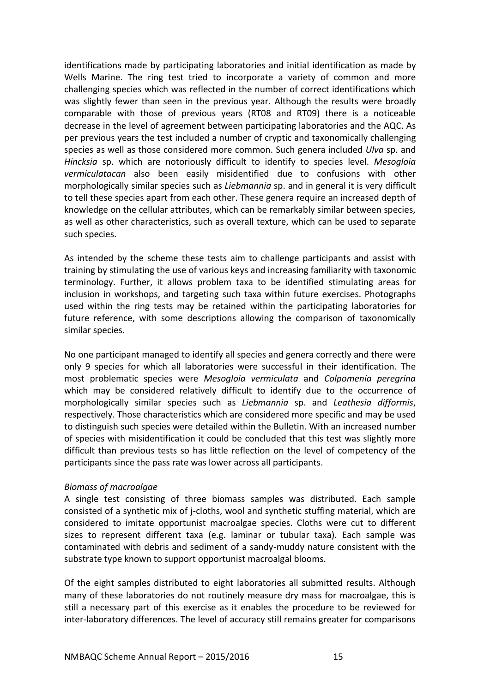identifications made by participating laboratories and initial identification as made by Wells Marine. The ring test tried to incorporate a variety of common and more challenging species which was reflected in the number of correct identifications which was slightly fewer than seen in the previous year. Although the results were broadly comparable with those of previous years (RT08 and RT09) there is a noticeable decrease in the level of agreement between participating laboratories and the AQC. As per previous years the test included a number of cryptic and taxonomically challenging species as well as those considered more common. Such genera included *Ulva* sp. and *Hincksia* sp. which are notoriously difficult to identify to species level. *Mesogloia vermiculatacan* also been easily misidentified due to confusions with other morphologically similar species such as *Liebmannia* sp. and in general it is very difficult to tell these species apart from each other. These genera require an increased depth of knowledge on the cellular attributes, which can be remarkably similar between species, as well as other characteristics, such as overall texture, which can be used to separate such species.

As intended by the scheme these tests aim to challenge participants and assist with training by stimulating the use of various keys and increasing familiarity with taxonomic terminology. Further, it allows problem taxa to be identified stimulating areas for inclusion in workshops, and targeting such taxa within future exercises. Photographs used within the ring tests may be retained within the participating laboratories for future reference, with some descriptions allowing the comparison of taxonomically similar species.

No one participant managed to identify all species and genera correctly and there were only 9 species for which all laboratories were successful in their identification. The most problematic species were *Mesogloia vermiculata* and *Colpomenia peregrina* which may be considered relatively difficult to identify due to the occurrence of morphologically similar species such as *Liebmannia* sp. and *Leathesia difformis*, respectively. Those characteristics which are considered more specific and may be used to distinguish such species were detailed within the Bulletin. With an increased number of species with misidentification it could be concluded that this test was slightly more difficult than previous tests so has little reflection on the level of competency of the participants since the pass rate was lower across all participants.

#### *Biomass of macroalgae*

A single test consisting of three biomass samples was distributed. Each sample consisted of a synthetic mix of j-cloths, wool and synthetic stuffing material, which are considered to imitate opportunist macroalgae species. Cloths were cut to different sizes to represent different taxa (e.g. laminar or tubular taxa). Each sample was contaminated with debris and sediment of a sandy-muddy nature consistent with the substrate type known to support opportunist macroalgal blooms.

Of the eight samples distributed to eight laboratories all submitted results. Although many of these laboratories do not routinely measure dry mass for macroalgae, this is still a necessary part of this exercise as it enables the procedure to be reviewed for inter-laboratory differences. The level of accuracy still remains greater for comparisons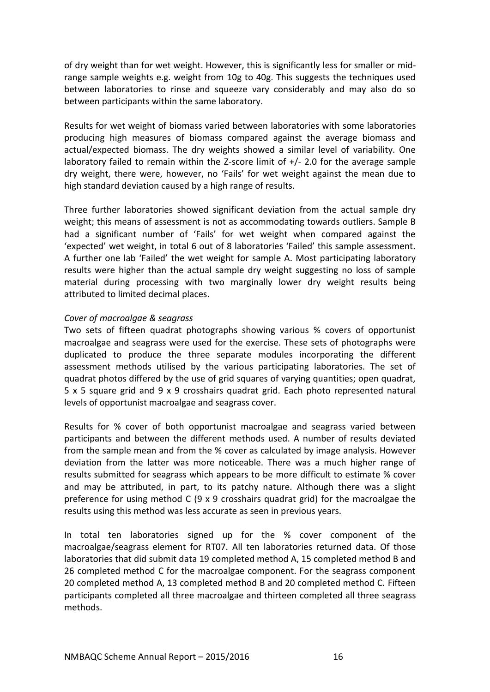of dry weight than for wet weight. However, this is significantly less for smaller or midrange sample weights e.g. weight from 10g to 40g. This suggests the techniques used between laboratories to rinse and squeeze vary considerably and may also do so between participants within the same laboratory.

Results for wet weight of biomass varied between laboratories with some laboratories producing high measures of biomass compared against the average biomass and actual/expected biomass. The dry weights showed a similar level of variability. One laboratory failed to remain within the Z-score limit of +/- 2.0 for the average sample dry weight, there were, however, no 'Fails' for wet weight against the mean due to high standard deviation caused by a high range of results.

Three further laboratories showed significant deviation from the actual sample dry weight; this means of assessment is not as accommodating towards outliers. Sample B had a significant number of 'Fails' for wet weight when compared against the 'expected' wet weight, in total 6 out of 8 laboratories 'Failed' this sample assessment. A further one lab 'Failed' the wet weight for sample A. Most participating laboratory results were higher than the actual sample dry weight suggesting no loss of sample material during processing with two marginally lower dry weight results being attributed to limited decimal places.

#### *Cover of macroalgae & seagrass*

Two sets of fifteen quadrat photographs showing various % covers of opportunist macroalgae and seagrass were used for the exercise. These sets of photographs were duplicated to produce the three separate modules incorporating the different assessment methods utilised by the various participating laboratories. The set of quadrat photos differed by the use of grid squares of varying quantities; open quadrat, 5 x 5 square grid and 9 x 9 crosshairs quadrat grid. Each photo represented natural levels of opportunist macroalgae and seagrass cover.

Results for % cover of both opportunist macroalgae and seagrass varied between participants and between the different methods used. A number of results deviated from the sample mean and from the % cover as calculated by image analysis. However deviation from the latter was more noticeable. There was a much higher range of results submitted for seagrass which appears to be more difficult to estimate % cover and may be attributed, in part, to its patchy nature. Although there was a slight preference for using method C (9 x 9 crosshairs quadrat grid) for the macroalgae the results using this method was less accurate as seen in previous years.

In total ten laboratories signed up for the % cover component of the macroalgae/seagrass element for RT07. All ten laboratories returned data. Of those laboratories that did submit data 19 completed method A, 15 completed method B and 26 completed method C for the macroalgae component. For the seagrass component 20 completed method A, 13 completed method B and 20 completed method C. Fifteen participants completed all three macroalgae and thirteen completed all three seagrass methods.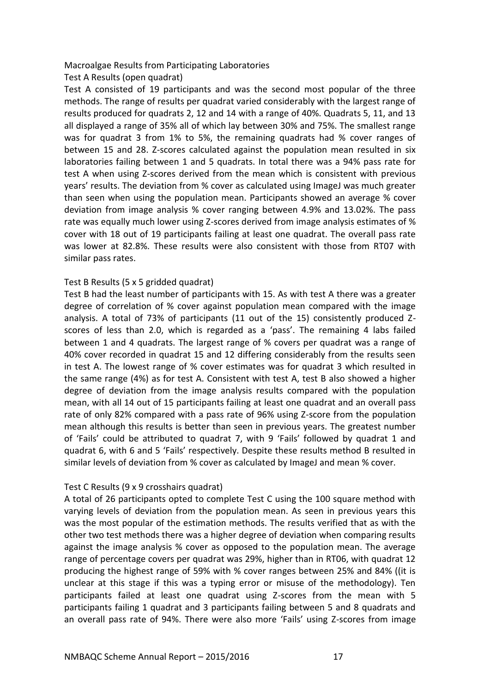#### Macroalgae Results from Participating Laboratories

Test A Results (open quadrat)

Test A consisted of 19 participants and was the second most popular of the three methods. The range of results per quadrat varied considerably with the largest range of results produced for quadrats 2, 12 and 14 with a range of 40%. Quadrats 5, 11, and 13 all displayed a range of 35% all of which lay between 30% and 75%. The smallest range was for quadrat 3 from 1% to 5%, the remaining quadrats had % cover ranges of between 15 and 28. Z-scores calculated against the population mean resulted in six laboratories failing between 1 and 5 quadrats. In total there was a 94% pass rate for test A when using Z-scores derived from the mean which is consistent with previous years' results. The deviation from % cover as calculated using ImageJ was much greater than seen when using the population mean. Participants showed an average % cover deviation from image analysis % cover ranging between 4.9% and 13.02%. The pass rate was equally much lower using Z-scores derived from image analysis estimates of % cover with 18 out of 19 participants failing at least one quadrat. The overall pass rate was lower at 82.8%. These results were also consistent with those from RT07 with similar pass rates.

#### Test B Results (5 x 5 gridded quadrat)

Test B had the least number of participants with 15. As with test A there was a greater degree of correlation of % cover against population mean compared with the image analysis. A total of 73% of participants (11 out of the 15) consistently produced Zscores of less than 2.0, which is regarded as a 'pass'. The remaining 4 labs failed between 1 and 4 quadrats. The largest range of % covers per quadrat was a range of 40% cover recorded in quadrat 15 and 12 differing considerably from the results seen in test A. The lowest range of % cover estimates was for quadrat 3 which resulted in the same range (4%) as for test A. Consistent with test A, test B also showed a higher degree of deviation from the image analysis results compared with the population mean, with all 14 out of 15 participants failing at least one quadrat and an overall pass rate of only 82% compared with a pass rate of 96% using Z-score from the population mean although this results is better than seen in previous years. The greatest number of 'Fails' could be attributed to quadrat 7, with 9 'Fails' followed by quadrat 1 and quadrat 6, with 6 and 5 'Fails' respectively. Despite these results method B resulted in similar levels of deviation from % cover as calculated by ImageJ and mean % cover.

#### Test C Results (9 x 9 crosshairs quadrat)

A total of 26 participants opted to complete Test C using the 100 square method with varying levels of deviation from the population mean. As seen in previous years this was the most popular of the estimation methods. The results verified that as with the other two test methods there was a higher degree of deviation when comparing results against the image analysis % cover as opposed to the population mean. The average range of percentage covers per quadrat was 29%, higher than in RT06, with quadrat 12 producing the highest range of 59% with % cover ranges between 25% and 84% ((it is unclear at this stage if this was a typing error or misuse of the methodology). Ten participants failed at least one quadrat using Z-scores from the mean with 5 participants failing 1 quadrat and 3 participants failing between 5 and 8 quadrats and an overall pass rate of 94%. There were also more 'Fails' using Z-scores from image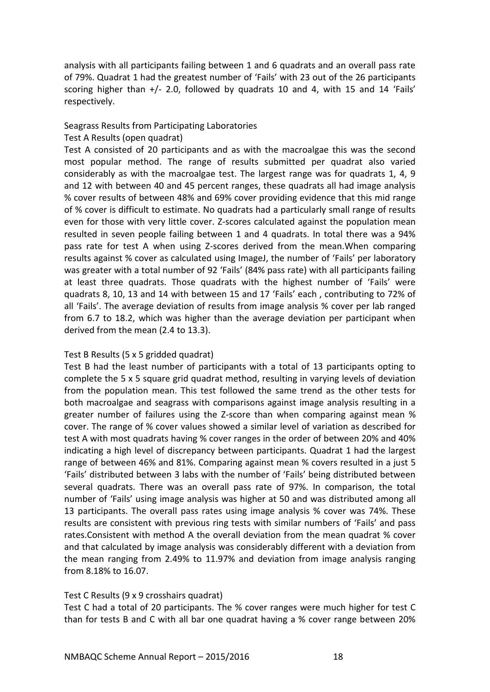analysis with all participants failing between 1 and 6 quadrats and an overall pass rate of 79%. Quadrat 1 had the greatest number of 'Fails' with 23 out of the 26 participants scoring higher than +/- 2.0, followed by quadrats 10 and 4, with 15 and 14 'Fails' respectively.

#### Seagrass Results from Participating Laboratories

#### Test A Results (open quadrat)

Test A consisted of 20 participants and as with the macroalgae this was the second most popular method. The range of results submitted per quadrat also varied considerably as with the macroalgae test. The largest range was for quadrats 1, 4, 9 and 12 with between 40 and 45 percent ranges, these quadrats all had image analysis % cover results of between 48% and 69% cover providing evidence that this mid range of % cover is difficult to estimate. No quadrats had a particularly small range of results even for those with very little cover. Z-scores calculated against the population mean resulted in seven people failing between 1 and 4 quadrats. In total there was a 94% pass rate for test A when using Z-scores derived from the mean.When comparing results against % cover as calculated using ImageJ, the number of 'Fails' per laboratory was greater with a total number of 92 'Fails' (84% pass rate) with all participants failing at least three quadrats. Those quadrats with the highest number of 'Fails' were quadrats 8, 10, 13 and 14 with between 15 and 17 'Fails' each , contributing to 72% of all 'Fails'. The average deviation of results from image analysis % cover per lab ranged from 6.7 to 18.2, which was higher than the average deviation per participant when derived from the mean (2.4 to 13.3).

#### Test B Results (5 x 5 gridded quadrat)

Test B had the least number of participants with a total of 13 participants opting to complete the 5 x 5 square grid quadrat method, resulting in varying levels of deviation from the population mean. This test followed the same trend as the other tests for both macroalgae and seagrass with comparisons against image analysis resulting in a greater number of failures using the Z-score than when comparing against mean % cover. The range of % cover values showed a similar level of variation as described for test A with most quadrats having % cover ranges in the order of between 20% and 40% indicating a high level of discrepancy between participants. Quadrat 1 had the largest range of between 46% and 81%. Comparing against mean % covers resulted in a just 5 'Fails' distributed between 3 labs with the number of 'Fails' being distributed between several quadrats. There was an overall pass rate of 97%. In comparison, the total number of 'Fails' using image analysis was higher at 50 and was distributed among all 13 participants. The overall pass rates using image analysis % cover was 74%. These results are consistent with previous ring tests with similar numbers of 'Fails' and pass rates.Consistent with method A the overall deviation from the mean quadrat % cover and that calculated by image analysis was considerably different with a deviation from the mean ranging from 2.49% to 11.97% and deviation from image analysis ranging from 8.18% to 16.07.

#### Test C Results (9 x 9 crosshairs quadrat)

Test C had a total of 20 participants. The % cover ranges were much higher for test C than for tests B and C with all bar one quadrat having a % cover range between 20%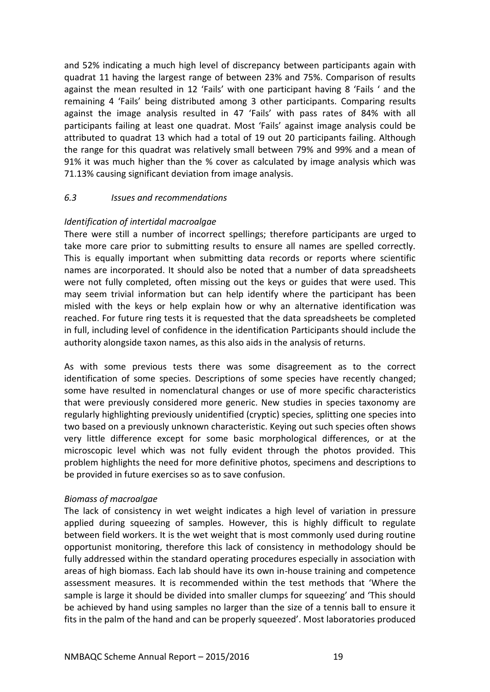and 52% indicating a much high level of discrepancy between participants again with quadrat 11 having the largest range of between 23% and 75%. Comparison of results against the mean resulted in 12 'Fails' with one participant having 8 'Fails ' and the remaining 4 'Fails' being distributed among 3 other participants. Comparing results against the image analysis resulted in 47 'Fails' with pass rates of 84% with all participants failing at least one quadrat. Most 'Fails' against image analysis could be attributed to quadrat 13 which had a total of 19 out 20 participants failing. Although the range for this quadrat was relatively small between 79% and 99% and a mean of 91% it was much higher than the % cover as calculated by image analysis which was 71.13% causing significant deviation from image analysis.

## <span id="page-20-0"></span>*6.3 Issues and recommendations*

## *Identification of intertidal macroalgae*

There were still a number of incorrect spellings; therefore participants are urged to take more care prior to submitting results to ensure all names are spelled correctly. This is equally important when submitting data records or reports where scientific names are incorporated. It should also be noted that a number of data spreadsheets were not fully completed, often missing out the keys or guides that were used. This may seem trivial information but can help identify where the participant has been misled with the keys or help explain how or why an alternative identification was reached. For future ring tests it is requested that the data spreadsheets be completed in full, including level of confidence in the identification Participants should include the authority alongside taxon names, as this also aids in the analysis of returns.

As with some previous tests there was some disagreement as to the correct identification of some species. Descriptions of some species have recently changed; some have resulted in nomenclatural changes or use of more specific characteristics that were previously considered more generic. New studies in species taxonomy are regularly highlighting previously unidentified (cryptic) species, splitting one species into two based on a previously unknown characteristic. Keying out such species often shows very little difference except for some basic morphological differences, or at the microscopic level which was not fully evident through the photos provided. This problem highlights the need for more definitive photos, specimens and descriptions to be provided in future exercises so as to save confusion.

#### *Biomass of macroalgae*

The lack of consistency in wet weight indicates a high level of variation in pressure applied during squeezing of samples. However, this is highly difficult to regulate between field workers. It is the wet weight that is most commonly used during routine opportunist monitoring, therefore this lack of consistency in methodology should be fully addressed within the standard operating procedures especially in association with areas of high biomass. Each lab should have its own in-house training and competence assessment measures. It is recommended within the test methods that 'Where the sample is large it should be divided into smaller clumps for squeezing' and 'This should be achieved by hand using samples no larger than the size of a tennis ball to ensure it fits in the palm of the hand and can be properly squeezed'. Most laboratories produced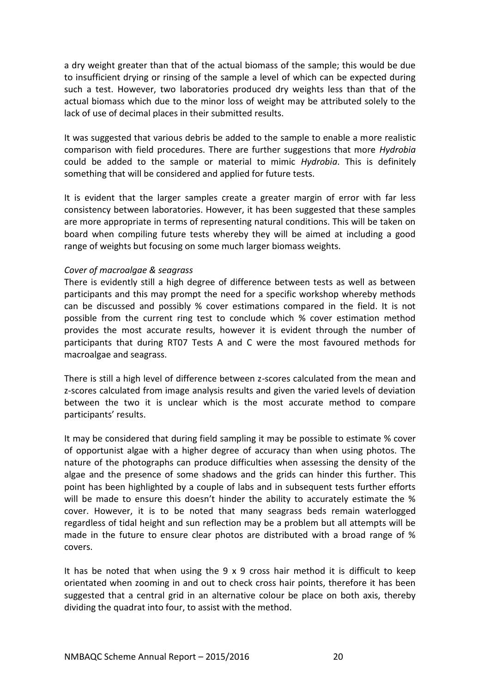a dry weight greater than that of the actual biomass of the sample; this would be due to insufficient drying or rinsing of the sample a level of which can be expected during such a test. However, two laboratories produced dry weights less than that of the actual biomass which due to the minor loss of weight may be attributed solely to the lack of use of decimal places in their submitted results.

It was suggested that various debris be added to the sample to enable a more realistic comparison with field procedures. There are further suggestions that more *Hydrobia* could be added to the sample or material to mimic *Hydrobia*. This is definitely something that will be considered and applied for future tests.

It is evident that the larger samples create a greater margin of error with far less consistency between laboratories. However, it has been suggested that these samples are more appropriate in terms of representing natural conditions. This will be taken on board when compiling future tests whereby they will be aimed at including a good range of weights but focusing on some much larger biomass weights.

#### *Cover of macroalgae & seagrass*

There is evidently still a high degree of difference between tests as well as between participants and this may prompt the need for a specific workshop whereby methods can be discussed and possibly % cover estimations compared in the field. It is not possible from the current ring test to conclude which % cover estimation method provides the most accurate results, however it is evident through the number of participants that during RT07 Tests A and C were the most favoured methods for macroalgae and seagrass.

There is still a high level of difference between z-scores calculated from the mean and z-scores calculated from image analysis results and given the varied levels of deviation between the two it is unclear which is the most accurate method to compare participants' results.

It may be considered that during field sampling it may be possible to estimate % cover of opportunist algae with a higher degree of accuracy than when using photos. The nature of the photographs can produce difficulties when assessing the density of the algae and the presence of some shadows and the grids can hinder this further. This point has been highlighted by a couple of labs and in subsequent tests further efforts will be made to ensure this doesn't hinder the ability to accurately estimate the % cover. However, it is to be noted that many seagrass beds remain waterlogged regardless of tidal height and sun reflection may be a problem but all attempts will be made in the future to ensure clear photos are distributed with a broad range of % covers.

It has be noted that when using the 9 x 9 cross hair method it is difficult to keep orientated when zooming in and out to check cross hair points, therefore it has been suggested that a central grid in an alternative colour be place on both axis, thereby dividing the quadrat into four, to assist with the method.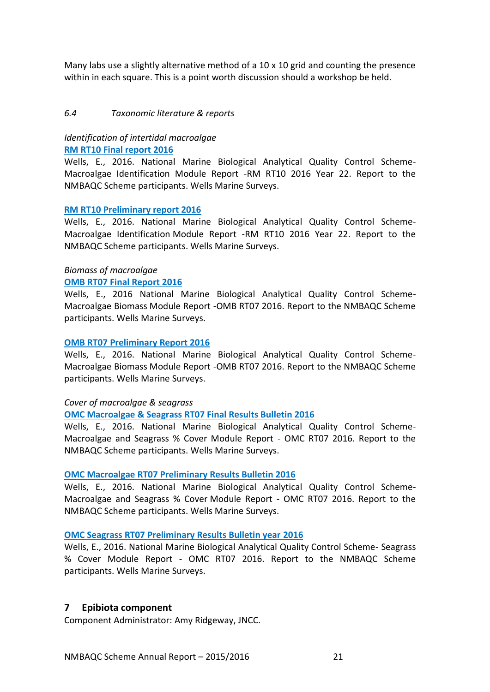Many labs use a slightly alternative method of a  $10 \times 10$  grid and counting the presence within in each square. This is a point worth discussion should a workshop be held.

#### <span id="page-22-0"></span>*6.4 Taxonomic literature & reports*

## *Identification of intertidal macroalgae* **[RM RT10 Final report 2016](http://www.nmbaqcs.org/scheme-components/macroalgae/reports/rm-rt10-final/)**

Wells, E., 2016. National Marine Biological Analytical Quality Control Scheme-Macroalgae Identification Module Report -RM RT10 2016 Year 22. Report to the NMBAQC Scheme participants. Wells Marine Surveys.

#### **[RM RT10 Preliminary report 2016](http://www.nmbaqcs.org/scheme-components/macroalgae/reports/rm-rt10-prelim/)**

Wells, E., 2016. National Marine Biological Analytical Quality Control Scheme-Macroalgae Identification Module Report -RM RT10 2016 Year 22. Report to the NMBAQC Scheme participants. Wells Marine Surveys.

## *Biomass of macroalgae*

#### **[OMB RT07 Final Report](http://www.nmbaqcs.org/scheme-components/macroalgae/reports/omb-rt07-final/) 2016**

Wells, E., 2016 National Marine Biological Analytical Quality Control Scheme-Macroalgae Biomass Module Report -OMB RT07 2016. Report to the NMBAQC Scheme participants. Wells Marine Surveys.

## **[OMB RT07 Preliminary Report 2016](http://www.nmbaqcs.org/scheme-components/macroalgae/reports/omb-rt07-prelim/)**

Wells, E., 2016. National Marine Biological Analytical Quality Control Scheme-Macroalgae Biomass Module Report -OMB RT07 2016. Report to the NMBAQC Scheme participants. Wells Marine Surveys.

#### *Cover of macroalgae & seagrass*

#### **[OMC Macroalgae & Seagrass RT07 Final Results Bulletin 2016](http://www.nmbaqcs.org/scheme-components/macroalgae/reports/omc-rt07-macroalgae-seagrass-final/)**

Wells, E., 2016. National Marine Biological Analytical Quality Control Scheme-Macroalgae and Seagrass % Cover Module Report - OMC RT07 2016. Report to the NMBAQC Scheme participants. Wells Marine Surveys.

#### **[OMC Macroalgae RT07 Preliminary Results Bulletin 2016](http://www.nmbaqcs.org/scheme-components/macroalgae/reports/omc-rt07-macroalgae-prelim/)**

Wells, E., 2016. National Marine Biological Analytical Quality Control Scheme-Macroalgae and Seagrass % Cover Module Report - OMC RT07 2016. Report to the NMBAQC Scheme participants. Wells Marine Surveys.

#### **[OMC Seagrass RT07 Preliminary Results Bulletin year](http://www.nmbaqcs.org/scheme-components/macroalgae/reports/omc-rt07-seagrass-prelim/) 2016**

Wells, E., 2016. National Marine Biological Analytical Quality Control Scheme- Seagrass % Cover Module Report - OMC RT07 2016. Report to the NMBAQC Scheme participants. Wells Marine Surveys.

## <span id="page-22-1"></span>**7 Epibiota component**

Component Administrator: Amy Ridgeway, JNCC.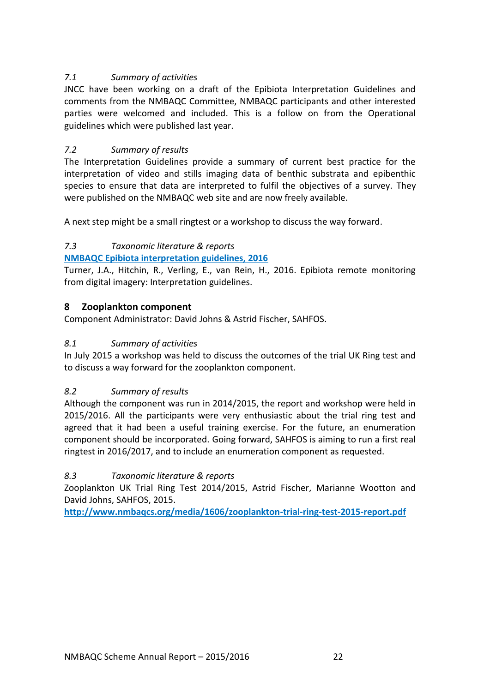## <span id="page-23-0"></span>*7.1 Summary of activities*

JNCC have been working on a draft of the Epibiota Interpretation Guidelines and comments from the NMBAQC Committee, NMBAQC participants and other interested parties were welcomed and included. This is a follow on from the Operational guidelines which were published last year.

## <span id="page-23-1"></span>*7.2 Summary of results*

The Interpretation Guidelines provide a summary of current best practice for the interpretation of video and stills imaging data of benthic substrata and epibenthic species to ensure that data are interpreted to fulfil the objectives of a survey. They were published on the NMBAQC web site and are now freely available.

A next step might be a small ringtest or a workshop to discuss the way forward.

## <span id="page-23-2"></span>*7.3 Taxonomic literature & reports*

## **[NMBAQC Epibiota interpretation guidelines, 2016](http://www.nmbaqcs.org/media/1643/nmbaqc_epibiota_interpretation_guidelines_final.pdf)**

Turner, J.A., Hitchin, R., Verling, E., van Rein, H., 2016. Epibiota remote monitoring from digital imagery: Interpretation guidelines.

## <span id="page-23-3"></span>**8 Zooplankton component**

Component Administrator: David Johns & Astrid Fischer, SAHFOS.

## <span id="page-23-4"></span>*8.1 Summary of activities*

In July 2015 a workshop was held to discuss the outcomes of the trial UK Ring test and to discuss a way forward for the zooplankton component.

## <span id="page-23-5"></span>*8.2 Summary of results*

Although the component was run in 2014/2015, the report and workshop were held in 2015/2016. All the participants were very enthusiastic about the trial ring test and agreed that it had been a useful training exercise. For the future, an enumeration component should be incorporated. Going forward, SAHFOS is aiming to run a first real ringtest in 2016/2017, and to include an enumeration component as requested.

## <span id="page-23-6"></span>*8.3 Taxonomic literature & reports*

Zooplankton UK Trial Ring Test 2014/2015, Astrid Fischer, Marianne Wootton and David Johns, SAHFOS, 2015.

**<http://www.nmbaqcs.org/media/1606/zooplankton-trial-ring-test-2015-report.pdf>**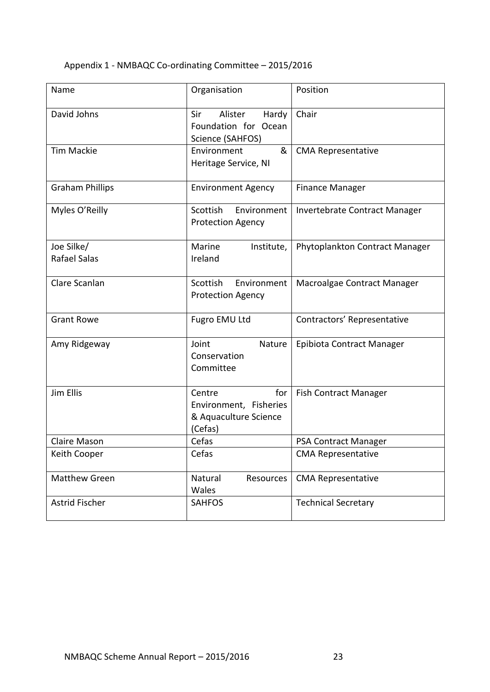## Appendix 1 - NMBAQC Co-ordinating Committee – 2015/2016

| Name                              | Organisation                                                                | Position                       |  |  |
|-----------------------------------|-----------------------------------------------------------------------------|--------------------------------|--|--|
| David Johns                       | Sir<br>Alister<br>Hardy<br>Foundation for Ocean<br>Science (SAHFOS)         | Chair                          |  |  |
| <b>Tim Mackie</b>                 | &<br>Environment<br>Heritage Service, NI                                    | <b>CMA Representative</b>      |  |  |
| <b>Graham Phillips</b>            | <b>Environment Agency</b>                                                   | <b>Finance Manager</b>         |  |  |
| Myles O'Reilly                    | Scottish<br>Environment<br><b>Protection Agency</b>                         | Invertebrate Contract Manager  |  |  |
| Joe Silke/<br><b>Rafael Salas</b> | Marine<br>Institute,<br>Ireland                                             | Phytoplankton Contract Manager |  |  |
| Clare Scanlan                     | Scottish<br>Environment<br><b>Protection Agency</b>                         | Macroalgae Contract Manager    |  |  |
| <b>Grant Rowe</b>                 | Fugro EMU Ltd                                                               | Contractors' Representative    |  |  |
| Amy Ridgeway                      | Joint<br>Nature<br>Conservation<br>Committee                                | Epibiota Contract Manager      |  |  |
| Jim Ellis                         | for<br>Centre<br>Environment, Fisheries<br>& Aquaculture Science<br>(Cefas) | <b>Fish Contract Manager</b>   |  |  |
| <b>Claire Mason</b>               | Cefas                                                                       | PSA Contract Manager           |  |  |
| Keith Cooper                      | Cefas                                                                       | <b>CMA Representative</b>      |  |  |
| <b>Matthew Green</b>              | Natural<br>Resources<br>Wales                                               | <b>CMA Representative</b>      |  |  |
| <b>Astrid Fischer</b>             | <b>SAHFOS</b>                                                               | <b>Technical Secretary</b>     |  |  |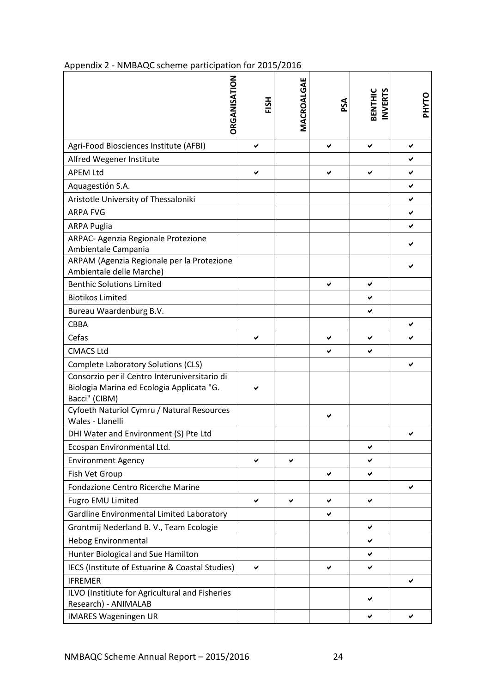| DRGANISATION                                                                                                | HSH | MACROALGAE | PSA | <b>INVERTS</b><br>BENTHIC | <b>PHYTO</b> |
|-------------------------------------------------------------------------------------------------------------|-----|------------|-----|---------------------------|--------------|
| Agri-Food Biosciences Institute (AFBI)                                                                      | ✔   |            | ✔   | ✔                         | ✔            |
| Alfred Wegener Institute                                                                                    |     |            |     |                           | ✔            |
| <b>APEM Ltd</b>                                                                                             | ✔   |            | ✔   | ✔                         | ✔            |
| Aquagestión S.A.                                                                                            |     |            |     |                           | ✔            |
| Aristotle University of Thessaloniki                                                                        |     |            |     |                           | ✔            |
| <b>ARPA FVG</b>                                                                                             |     |            |     |                           | ✔            |
| <b>ARPA Puglia</b>                                                                                          |     |            |     |                           | ✔            |
| ARPAC- Agenzia Regionale Protezione<br>Ambientale Campania                                                  |     |            |     |                           |              |
| ARPAM (Agenzia Regionale per la Protezione<br>Ambientale delle Marche)                                      |     |            |     |                           |              |
| <b>Benthic Solutions Limited</b>                                                                            |     |            | ✔   | ✔                         |              |
| <b>Biotikos Limited</b>                                                                                     |     |            |     | ✔                         |              |
| Bureau Waardenburg B.V.                                                                                     |     |            |     | ✔                         |              |
| <b>CBBA</b>                                                                                                 |     |            |     |                           | ✔            |
| Cefas                                                                                                       | ✔   |            |     | ✔                         |              |
| <b>CMACS Ltd</b>                                                                                            |     |            | ✔   | ✔                         |              |
| <b>Complete Laboratory Solutions (CLS)</b>                                                                  |     |            |     |                           | ✔            |
| Consorzio per il Centro Interuniversitario di<br>Biologia Marina ed Ecologia Applicata "G.<br>Bacci" (CIBM) |     |            |     |                           |              |
| Cyfoeth Naturiol Cymru / Natural Resources<br>Wales - Llanelli                                              |     |            | ✔   |                           |              |
| DHI Water and Environment (S) Pte Ltd                                                                       |     |            |     |                           |              |
| Ecospan Environmental Ltd.                                                                                  |     |            |     | ✔                         |              |
| <b>Environment Agency</b>                                                                                   | ✓   | ✔          |     | ✔                         |              |
| Fish Vet Group                                                                                              |     |            | ✔   | ✔                         |              |
| Fondazione Centro Ricerche Marine                                                                           |     |            |     |                           | ✔            |
| Fugro EMU Limited                                                                                           | ✔   | ✔          | ✔   | ✔                         |              |
| Gardline Environmental Limited Laboratory                                                                   |     |            | ✔   |                           |              |
| Grontmij Nederland B. V., Team Ecologie                                                                     |     |            |     | ✔                         |              |
| <b>Hebog Environmental</b>                                                                                  |     |            |     | ✔                         |              |
| Hunter Biological and Sue Hamilton                                                                          |     |            |     | ✔                         |              |
| IECS (Institute of Estuarine & Coastal Studies)                                                             | ✔   |            | ✔   | ✔                         |              |
| <b>IFREMER</b>                                                                                              |     |            |     |                           | ✔            |
| ILVO (Institiute for Agricultural and Fisheries<br>Research) - ANIMALAB                                     |     |            |     |                           |              |
| <b>IMARES Wageningen UR</b>                                                                                 |     |            |     | ✔                         | ✔            |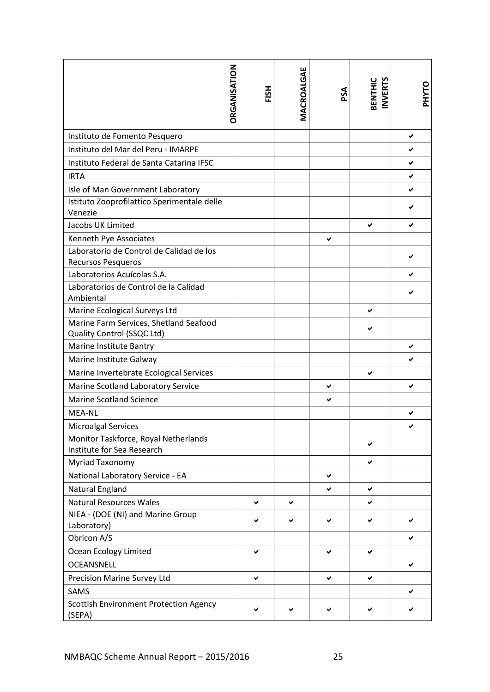|                                                                      | DRGANISATION | HSH | MACROALGAE | PSA | <b>BENTHIC</b><br><b>INVERTS</b> | PHYTO |
|----------------------------------------------------------------------|--------------|-----|------------|-----|----------------------------------|-------|
| Instituto de Fomento Pesquero                                        |              |     |            |     |                                  | ✔     |
| Instituto del Mar del Peru - IMARPE                                  |              |     |            |     |                                  | ✔     |
| Instituto Federal de Santa Catarina IFSC                             |              |     |            |     |                                  | ✔     |
| <b>IRTA</b>                                                          |              |     |            |     |                                  | ✔     |
| Isle of Man Government Laboratory                                    |              |     |            |     |                                  | ✔     |
| Istituto Zooprofilattico Sperimentale delle<br>Venezie               |              |     |            |     |                                  |       |
| Jacobs UK Limited                                                    |              |     |            |     | ✔                                | ✔     |
| Kenneth Pye Associates                                               |              |     |            | ✔   |                                  |       |
| Laboratorio de Control de Calidad de los<br>Recursos Pesqueros       |              |     |            |     |                                  |       |
| Laboratorios Acuícolas S.A.                                          |              |     |            |     |                                  |       |
| Laboratorios de Control de la Calidad<br>Ambiental                   |              |     |            |     |                                  |       |
| Marine Ecological Surveys Ltd                                        |              |     |            |     | ✔                                |       |
| Marine Farm Services, Shetland Seafood<br>Quality Control (SSQC Ltd) |              |     |            |     |                                  |       |
| Marine Institute Bantry                                              |              |     |            |     |                                  | ✔     |
| Marine Institute Galway                                              |              |     |            |     |                                  |       |
| Marine Invertebrate Ecological Services                              |              |     |            |     | ✔                                |       |
| Marine Scotland Laboratory Service                                   |              |     |            | ✔   |                                  | ✔     |
| <b>Marine Scotland Science</b>                                       |              |     |            | ✔   |                                  |       |
| <b>MEA-NL</b>                                                        |              |     |            |     |                                  |       |
| <b>Microalgal Services</b>                                           |              |     |            |     |                                  |       |
| Monitor Taskforce, Royal Netherlands<br>Institute for Sea Research   |              |     |            |     | ✔                                |       |
| Myriad Taxonomy                                                      |              |     |            |     | ✔                                |       |
| National Laboratory Service - EA                                     |              |     |            | ✔   |                                  |       |
| <b>Natural England</b>                                               |              |     |            | ✔   | ✔                                |       |
| <b>Natural Resources Wales</b>                                       |              | ✔   | ✔          |     | ✔                                |       |
| NIEA - (DOE (NI) and Marine Group<br>Laboratory)                     |              | ✔   | ✔          | ✔   | ✔                                |       |
| Obricon A/S                                                          |              |     |            |     |                                  | ✔     |
| Ocean Ecology Limited                                                |              | ✔   |            | ✔   | ✔                                |       |
| <b>OCEANSNELL</b>                                                    |              |     |            |     |                                  | ✔     |
| Precision Marine Survey Ltd                                          |              | ✔   |            | ✔   | ✔                                |       |
| <b>SAMS</b>                                                          |              |     |            |     |                                  | ✔     |
| <b>Scottish Environment Protection Agency</b><br>(SEPA)              |              | ✔   | ✔          | ✔   | ✔                                | ✔     |
| NMBAQC Scheme Annual Report - 2015/2016                              |              |     |            | 25  |                                  |       |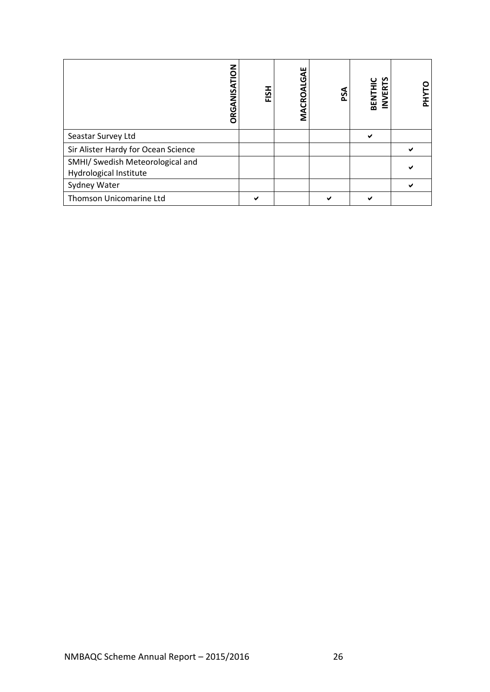| ORGANISATION                                               | FISH         | MACROALGAE | PSA          | BENTHIC<br>INVERTS | <b>PHYTO</b> |
|------------------------------------------------------------|--------------|------------|--------------|--------------------|--------------|
| Seastar Survey Ltd                                         |              |            |              | $\checkmark$       |              |
| Sir Alister Hardy for Ocean Science                        |              |            |              |                    | $\checkmark$ |
| SMHI/ Swedish Meteorological and<br>Hydrological Institute |              |            |              |                    | ✔            |
| Sydney Water                                               |              |            |              |                    | $\checkmark$ |
| Thomson Unicomarine Ltd                                    | $\checkmark$ |            | $\checkmark$ | $\checkmark$       |              |
|                                                            |              |            |              |                    |              |
| NMBAQC Scheme Annual Report - 2015/2016<br>$26\,$          |              |            |              |                    |              |